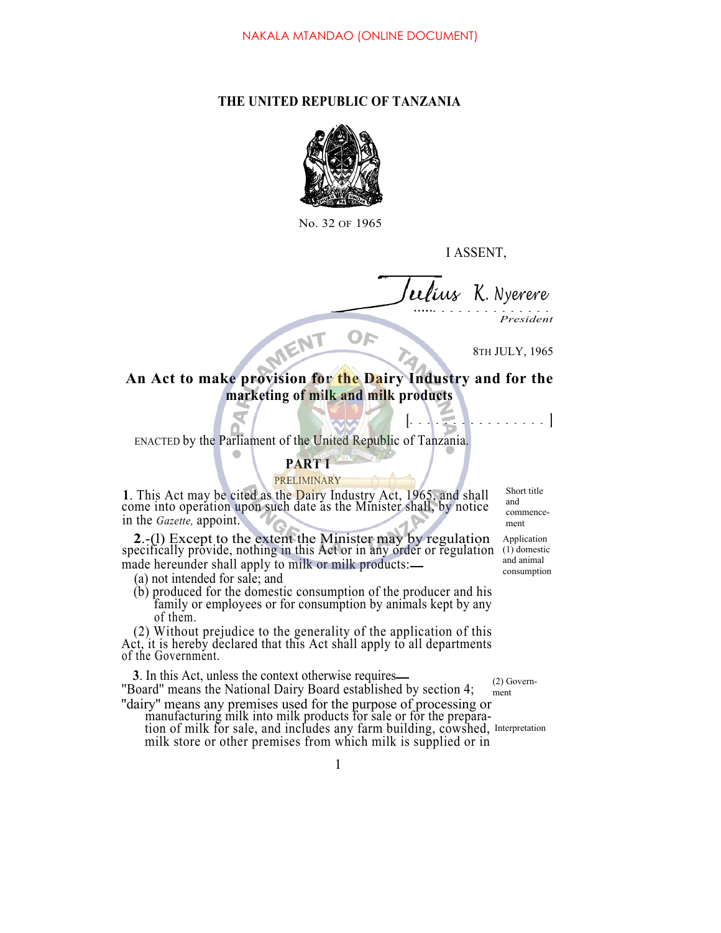# **THE UNITED REPUBLIC OF TANZANIA**



No. 32 OF 1965

I ASSENT,

*ius K. Nyerere*

*President*

8TH JULY, 1965

# **An Act to make provision for the Dairy Industry and for the marketing of milk and milk products**

OF

**[ ]**

ENACTED by the Parliament of the United Republic of Tanzania.

MENT

# **PART I**

## PRELIMINARY

**1**. This Act may be cited as the Dairy Industry Act, 1965, and shall come into operation upon such date as the Minister shall, by notice in the *Gazette,* appoint.

Short title and commencement

**2**.-(1) Except to the extent the Minister may by regulation Application specifically provide, nothing in this Act or in any order or regulation (1) domestic made hereunder shall apply to milk or milk products: (1) domestic and animal consumption

(a) not intended for sale; and<br>(b) produced for the domestic consumption of the producer and his family or employees or for consumption by animals kept by any of them.

(2) Without prejudice to the generality of the application of this Act, it is hereby declared that this Act shall apply to all departments of the Government.

**3**. In this Act, unless the context otherwise requires ''Board'' means the National Dairy Board established by section 4;

(2) Government

''dairy'' means any premises used for the purpose of processing or manufacturing milk into milk products for sale or for the preparation of milk for sale, and includes any farm building, cowshed, Interpretation milk store or other premises from which milk is supplied or in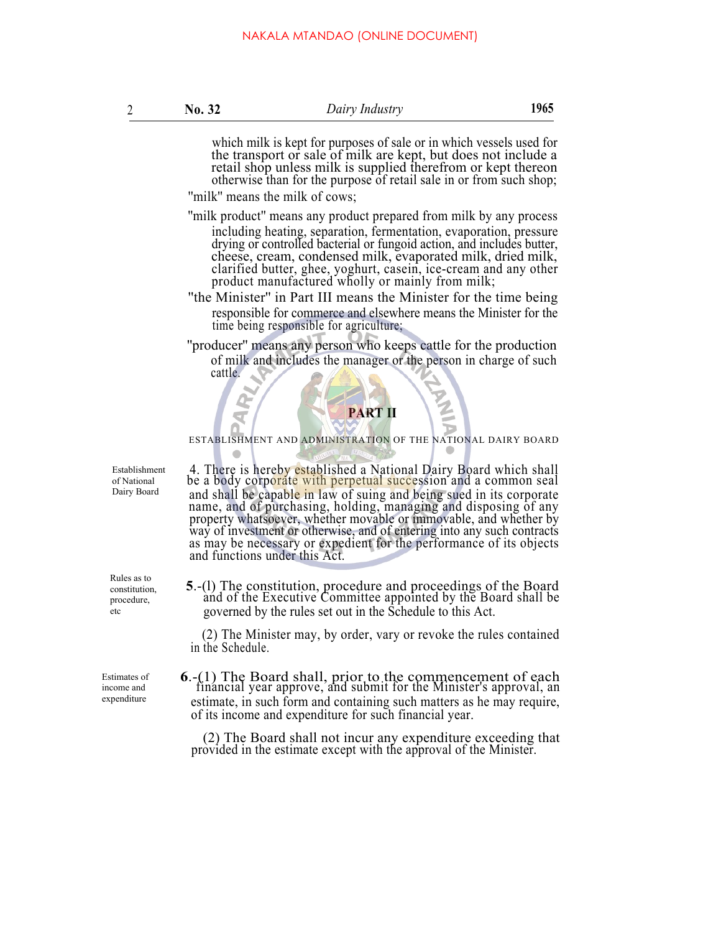which milk is kept for purposes of sale or in which vessels used for the transport or sale of milk are kept, but does not include a retail shop unless milk is supplied therefrom or kept thereon otherwise than for the purpose of retail sale in or from such shop;

''milk'' means the milk of cows;

''milk product'' means any product prepared from milk by any process including heating, separation, fermentation, evaporation, pressure drying or controlled bacterial or fungoid action, and includes butter, cheese, cream, condensed milk, evaporated milk, dried milk, clarified butter, ghee, yoghurt, casein, ice-cream and any other product manufactured wholly or mainly from milk;

''the Minister'' in Part III means the Minister for the time being responsible for commerce and elsewhere means the Minister for the time being responsible for agriculture;

''producer'' means any person who keeps cattle for the production of milk and includes the manager or the person in charge of such cattle.

# **PART II**

ESTABLISHMENT AND ADMINISTRATION OF THE NATIONAL DAIRY BOARD

4. There is hereby established a National Dairy Board which shall be a body corporate with perpetual succession and a common seal and shall be capable in law of suing and being sued in its corporate name, and of purchasing, holding, managing and disposing of any property whatsoever, whether movable or immovable, and whether by way of investment or otherwise, and of entering into any such contracts as may be necessary or expedient for the performance of its objects and functions under this Act.

**<sup>5</sup>**.-(l) The constitution, procedure and proceedings of the Board and of the Executive Committee appointed by the Board shall be governed by the rules set out in the Schedule to this Act.

(2) The Minister may, by order, vary or revoke the rules contained in the Schedule.

**6**.-(1) The Board shall, prior to the commencement of each financial year approve, and submit for the Minister's approval, an estimate, in such form and containing such matters as he may require, of its income and expenditure for such financial year.

(2) The Board shall not incur any expenditure exceeding that provided in the estimate except with the approval of the Minister.

Establishment of National Dairy Board

Rules as to constitution, procedure, etc

Estimates of income and expenditure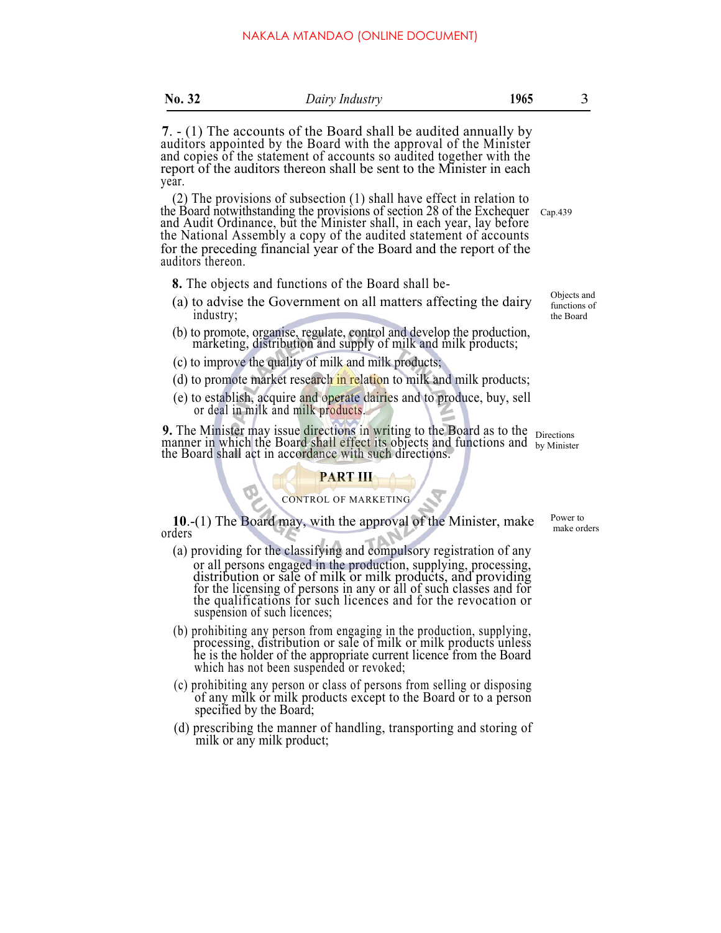| ш<br>٠ |  |
|--------|--|
|--------|--|

**<sup>7</sup>**. - (1) The accounts of the Board shall be audited annually by auditors appointed by the Board with the approval of the Minister and copies of the statement of accounts so audited together with the report of the auditors thereon shall be sent to the Minister in each year.

(2) The provisions of subsection (1) shall have effect in relation to the Board notwithstanding the provisions of section 28 of the Exchequer and Audit Ordinance, but the Minister shall, in each year, lay before the National Assembly a copy of the audited statement of accounts for the preceding financial year of the Board and the report of the auditors thereon. Cap.439

**8.** The objects and functions of the Board shall be-

- (a) to advise the Government on all matters affecting the dairy industry;
- (b) to promote, organise, regulate, control and develop the production, marketing, distribution and supply of milk and milk products;
- (c) to improve the quality of milk and milk products;
- (d) to promote market research in relation to milk and milk products;
- (e) to establish, acquire and operate dairies and to produce, buy, sell or deal in milk and milk products.

**9.** The Minister may issue directions in writing to the Board as to the  $\frac{1}{\text{Directions}}$  manner in which the Board shall effect its objects and functions and  $\frac{1}{\text{by Minister}}$ the Board shall act in accordance with such directions. manner in which the Board shall effect its objects and functions and by Minister

## **PART III**

### CONTROL OF MARKETING

**10**.-(1) The Board may, with the approval of the Minister, make orders

- (a) providing for the classifying and compulsory registration of any or all persons engaged in the production, supplying, processing, distribution or sale of milk or milk products, and providing for the licensing of persons in any or all of such classes and for the qualifications for such licences and for the revocation or suspension of such licences;
- (b) prohibiting any person from engaging in the production, supplying, processing, distribution or sale of milk or milk products unless he is the holder of the appropriate current licence from the Board which has not been suspended or revoked;
- (c) prohibiting any person or class of persons from selling or disposing of any milk or milk products except to the Board or to a person specified by the Board;
- (d) prescribing the manner of handling, transporting and storing of milk or any milk product;

Objects and functions of the Board

Power to make orders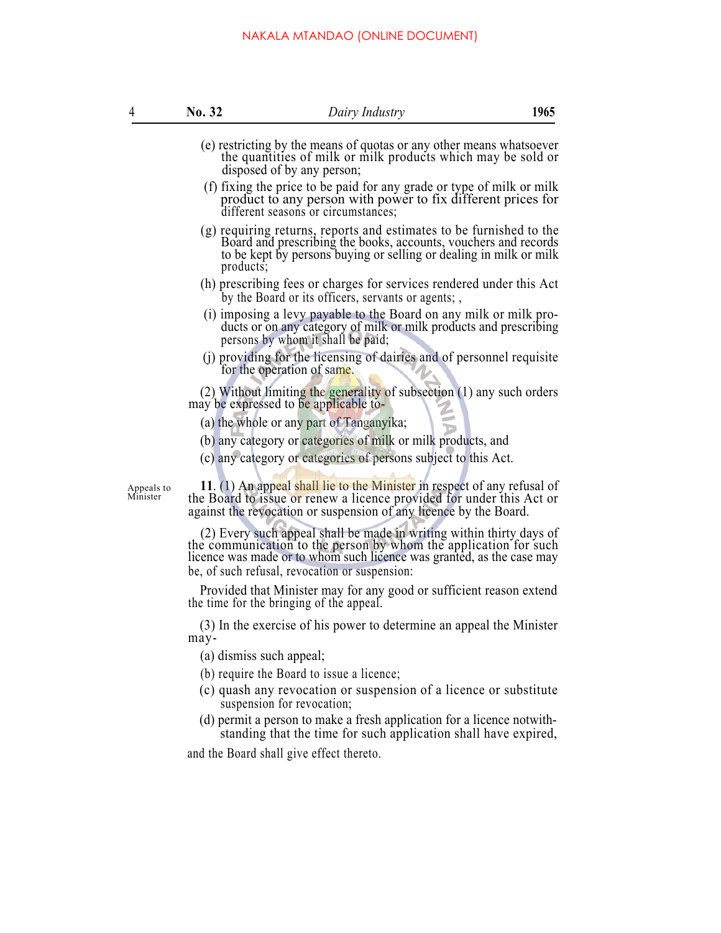| 4                      | <b>No. 32</b>            | Dairy Industry                                                                                                                                                                                                                                                      | 1965 |
|------------------------|--------------------------|---------------------------------------------------------------------------------------------------------------------------------------------------------------------------------------------------------------------------------------------------------------------|------|
|                        |                          | (e) restricting by the means of quotas or any other means whatsoever<br>the quantities of milk or milk products which may be sold or<br>disposed of by any person;                                                                                                  |      |
|                        |                          | (f) fixing the price to be paid for any grade or type of milk or milk<br>product to any person with power to fix different prices for<br>different seasons or circumstances;                                                                                        |      |
|                        | $products$ .             | (g) requiring returns, reports and estimates to be furnished to the Board and prescribing the books, accounts, vouchers and records<br>to be kept by persons buying or selling or dealing in milk or milk                                                           |      |
|                        |                          | (h) prescribing fees or charges for services rendered under this Act<br>by the Board or its officers, servants or agents;                                                                                                                                           |      |
|                        |                          | (i) imposing a levy payable to the Board on any milk or milk pro-<br>ducts or on any category of milk or milk products and prescribing<br>persons by whom it shall be paid;                                                                                         |      |
|                        |                          | (j) providing for the licensing of dairies and of personnel requisite<br>for the operation of same.                                                                                                                                                                 |      |
|                        |                          | (2) Without limiting the generality of subsection $(1)$ any such orders<br>may be expressed to be applicable to-                                                                                                                                                    |      |
|                        |                          | (a) the whole or any part of Tanganyika;                                                                                                                                                                                                                            |      |
|                        |                          | (b) any category or categories of milk or milk products, and                                                                                                                                                                                                        |      |
|                        |                          | (c) any category or categories of persons subject to this Act.                                                                                                                                                                                                      |      |
| Appeals to<br>Minister |                          | 11. (1) An appeal shall lie to the Minister in respect of any refusal of<br>the Board to issue or renew a licence provided for under this Act or<br>against the revocation or suspension of any licence by the Board.                                               |      |
|                        |                          | (2) Every such appeal shall be made in writing within thirty days of<br>the communication to the person by whom the application for such<br>licence was made or to whom such licence was granted, as the case may<br>be, of such refusal, revocation or suspension: |      |
|                        |                          | Provided that Minister may for any good or sufficient reason extend<br>the time for the bringing of the appeal.                                                                                                                                                     |      |
|                        | may-                     | (3) In the exercise of his power to determine an appeal the Minister                                                                                                                                                                                                |      |
|                        | (a) dismiss such appeal; |                                                                                                                                                                                                                                                                     |      |
|                        |                          | (b) require the Board to issue a licence;                                                                                                                                                                                                                           |      |
|                        |                          | (c) quash any revocation or suspension of a licence or substitute<br>suspension for revocation;                                                                                                                                                                     |      |
|                        |                          | (d) permit a person to make a fresh application for a licence notwith-<br>standing that the time for such application shall have expired,                                                                                                                           |      |
|                        |                          | d the Deerd shall give offect thereto                                                                                                                                                                                                                               |      |

and the Board shall give effect thereto.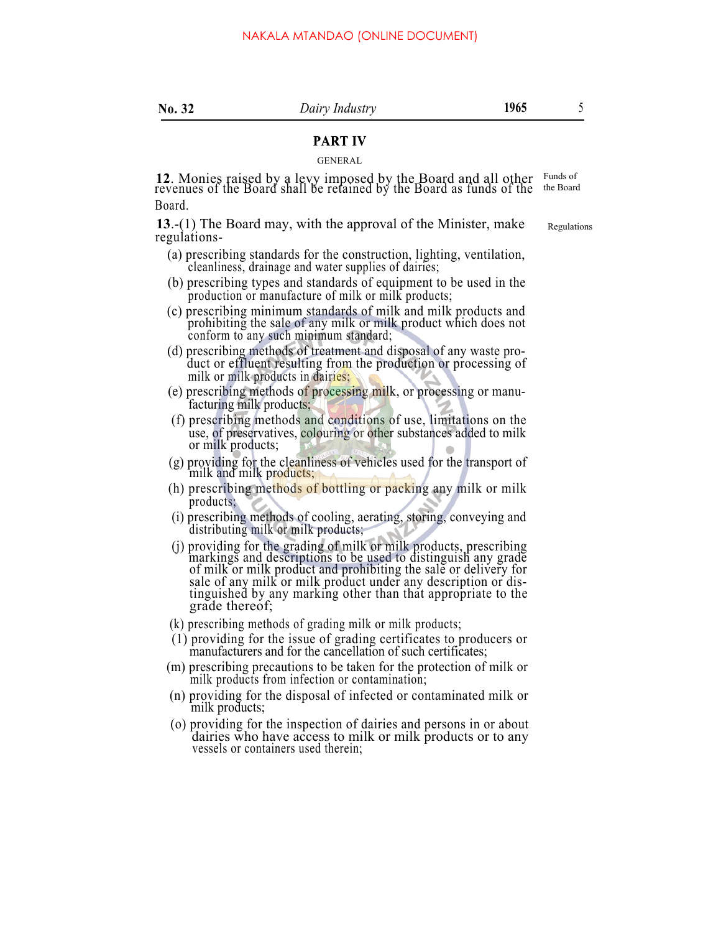# **PART IV**

## GENERAL

**<sup>12</sup>**. Monies raised by a levy imposed by the Board and all other revenues of the Board shall be retained by the Board as funds of the Board. **PART IV**<br>GENERAL<br>v. imnosed by the Board and all other F<sup>unds of</sup>

**13**.-(1) The Board may, with the approval of the Minister, make regulations-

- (a) prescribing standards for the construction, lighting, ventilation, cleanliness, drainage and water supplies of dairies;
- (b) prescribing types and standards of equipment to be used in the production or manufacture of milk or milk products;
- (c) prescribing minimum standards of milk and milk products and prohibiting the sale of any milk or milk product which does not conform to any such minimum standard;
- (d) prescribing methods of treatment and disposal of any waste pro- duct or effluent resulting from the production or processing of milk or milk products in dairies;
- (e) prescribing methods of processing milk, or processing or manufacturing milk products;
- (f) prescribing methods and conditions of use, limitations on the use, of preservatives, colouring or other substances added to milk or milk products;
- (g) providing for the cleanliness of vehicles used for the transport of milk and milk products;
- (h) prescribing methods of bottling or packing any milk or milk products;
- (i) prescribing methods of cooling, aerating, storing, conveying and distributing milk or milk products;
- (j) providing for the grading of milk or milk products, prescribing markings and descriptions to be used to distinguish any grade of milk or milk product and prohibiting the sale or delivery for sale of any milk or milk product under any description or distinguished by any marking other than that appropriate to the grade thereof;
- (k) prescribing methods of grading milk or milk products;
- (1) providing for the issue of grading certificates to producers or manufacturers and for the cancellation of such certificates;
- (m) prescribing precautions to be taken for the protection of milk or milk products from infection or contamination;
- (n) providing for the disposal of infected or contaminated milk or milk products;
- (o) providing for the inspection of dairies and persons in or about dairies who have access to milk or milk products or to any vessels or containers used therein;

the Board

Regulations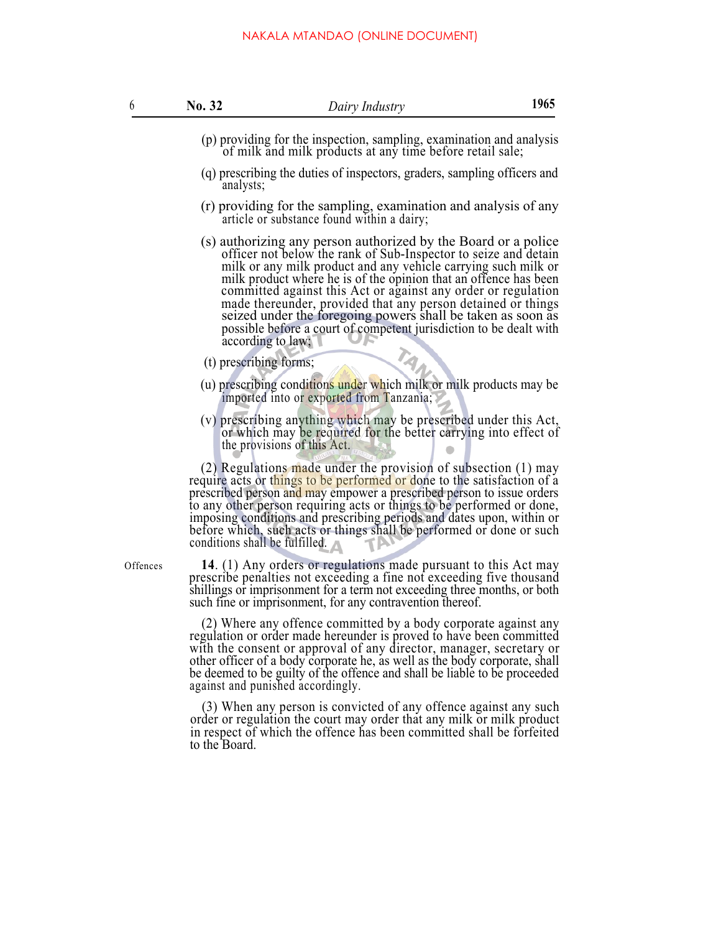| 6        | No. 32                 | Dairy Industry                                                                                                                                                                                                                                                                                                                                                                                                                                                                                                                                                     | 1965 |
|----------|------------------------|--------------------------------------------------------------------------------------------------------------------------------------------------------------------------------------------------------------------------------------------------------------------------------------------------------------------------------------------------------------------------------------------------------------------------------------------------------------------------------------------------------------------------------------------------------------------|------|
|          |                        | (p) providing for the inspection, sampling, examination and analysis<br>of milk and milk products at any time before retail sale;                                                                                                                                                                                                                                                                                                                                                                                                                                  |      |
|          | analysts;              | (q) prescribing the duties of inspectors, graders, sampling officers and                                                                                                                                                                                                                                                                                                                                                                                                                                                                                           |      |
|          |                        | (r) providing for the sampling, examination and analysis of any<br>article or substance found within a dairy;                                                                                                                                                                                                                                                                                                                                                                                                                                                      |      |
|          |                        | (s) authorizing any person authorized by the Board or a police<br>officer not below the rank of Sub-Inspector to seize and detain<br>milk or any milk product and any vehicle carrying such milk or<br>milk product where he is of the opinion that an offence has been<br>committed against this Act or against any order or regulation<br>made thereunder, provided that any person detained or things<br>seized under the foregoing powers shall be taken as soon as<br>possible before a court of competent jurisdiction to be dealt with<br>according to law; |      |
|          | (t) prescribing forms; | TAN.                                                                                                                                                                                                                                                                                                                                                                                                                                                                                                                                                               |      |
|          |                        | (u) prescribing conditions under which milk or milk products may be<br>imported into or exported from Tanzania;                                                                                                                                                                                                                                                                                                                                                                                                                                                    |      |
|          |                        | (v) prescribing anything which may be prescribed under this Act,<br>or which may be required for the better carrying into effect of<br>the provisions of this Act.                                                                                                                                                                                                                                                                                                                                                                                                 |      |
|          |                        | (2) Regulations made under the provision of subsection $(1)$ may<br>require acts or things to be performed or done to the satisfaction of a<br>prescribed person and may empower a prescribed person to issue orders<br>to any other person requiring acts or things to be performed or done,<br>imposing conditions and prescribing periods and dates upon, within or<br>before which, such acts or things shall be performed or done or such<br>conditions shall be fulfilled. $\wedge$                                                                          |      |
| Offences |                        | 14. (1) Any orders or regulations made pursuant to this Act may<br>prescribe penalties not exceeding a fine not exceeding five thousand<br>shillings or imprisonment for a term not exceeding three months, or both<br>such fine or imprisonment, for any contravention thereof.                                                                                                                                                                                                                                                                                   |      |

(2) Where any offence committed by a body corporate against any regulation or order made hereunder is proved to have been committed with the consent or approval of any director, manager, secretary or other officer of a body corporate he, as well as the body corporate, shall be deemed to be guilty of the offence and shall be liable to be proceeded against and punished accordingly.

(3) When any person is convicted of any offence against any such order or regulation the court may order that any milk or milk product in respect of which the offence has been committed shall be forfeited to the Board.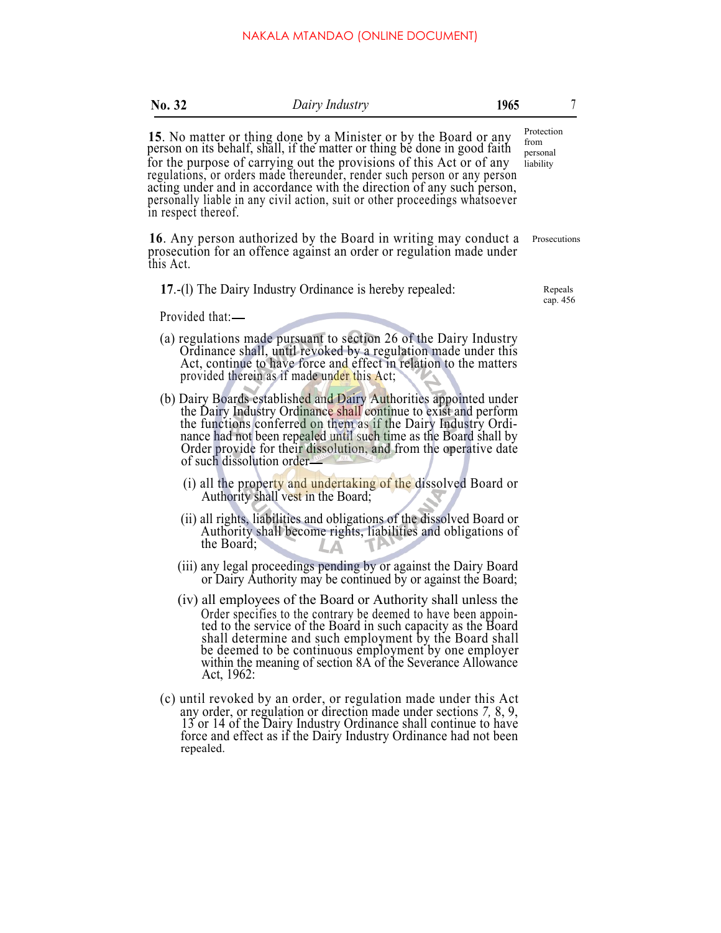| No. 32              | Dairy Industry                                                                                                                                                                                                                                                                                                                                                                                                                                         | 1965 | 7                                           |
|---------------------|--------------------------------------------------------------------------------------------------------------------------------------------------------------------------------------------------------------------------------------------------------------------------------------------------------------------------------------------------------------------------------------------------------------------------------------------------------|------|---------------------------------------------|
| in respect thereof. | 15. No matter or thing done by a Minister or by the Board or any person on its behalf, shall, if the matter or thing be done in good faith<br>for the purpose of carrying out the provisions of this Act or of any<br>regulations, or orders made thereunder, render such person or any person<br>acting under and in accordance with the direction of any such person,<br>personally liable in any civil action, suit or other proceedings whatsoever |      | Protection<br>from<br>personal<br>liability |
| this Act.           | 16. Any person authorized by the Board in writing may conduct a<br>prosecution for an offence against an order or regulation made under                                                                                                                                                                                                                                                                                                                |      | Prosecutions                                |
|                     | 17.-(1) The Dairy Industry Ordinance is hereby repealed:                                                                                                                                                                                                                                                                                                                                                                                               |      | Repeals<br>cap. 456                         |
| Provided that:—     |                                                                                                                                                                                                                                                                                                                                                                                                                                                        |      |                                             |
|                     | (a) regulations made pursuant to section 26 of the Dairy Industry<br>Ordinance shall, until revoked by a regulation made under this<br>Act, continue to have force and effect in relation to the matters<br>provided therein as if made under this Act;                                                                                                                                                                                                |      |                                             |
|                     | (b) Dairy Boards established and Dairy Authorities appointed under<br>the Dairy Industry Ordinance shall continue to exist and perform<br>the functions conferred on them as if the Dairy Industry Ordi-<br>nance had not been repealed until such time as the Board shall by<br>Order provide for their dissolution, and from the operative date<br>of such dissolution order-                                                                        |      |                                             |
|                     | (i) all the property and undertaking of the dissolved Board or<br>Authority shall vest in the Board;                                                                                                                                                                                                                                                                                                                                                   |      |                                             |
|                     | (ii) all rights, liabilities and obligations of the dissolved Board or<br>Authority shall become rights, liabilities and obligations of<br>the Board;                                                                                                                                                                                                                                                                                                  |      |                                             |
|                     | (iii) any legal proceedings pending by or against the Dairy Board<br>or Dairy Authority may be continued by or against the Board;                                                                                                                                                                                                                                                                                                                      |      |                                             |
|                     | (iv) all employees of the Board or Authority shall unless the<br>Order specifies to the contrary be deemed to have been appoin-<br>ted to the service of the Board in such capacity as the Board<br>shall determine and such employment by the Board shall<br>be deemed to be continuous employment by one employer<br>within the meaning of section 8A of the Severance Allowance<br>Act, 1962:                                                       |      |                                             |
|                     | $(c)$ until revoked by an order, or requistion made under this $\Delta ct$                                                                                                                                                                                                                                                                                                                                                                             |      |                                             |

(c) until revoked by an order, or regulation made under this Act any order, or regulation or direction made under sections *7,* 8, 9, 13 or 14 of the Dairy Industry Ordinance shall continue to have force and effect as if the Dairy Industry Ordinance had not been repealed.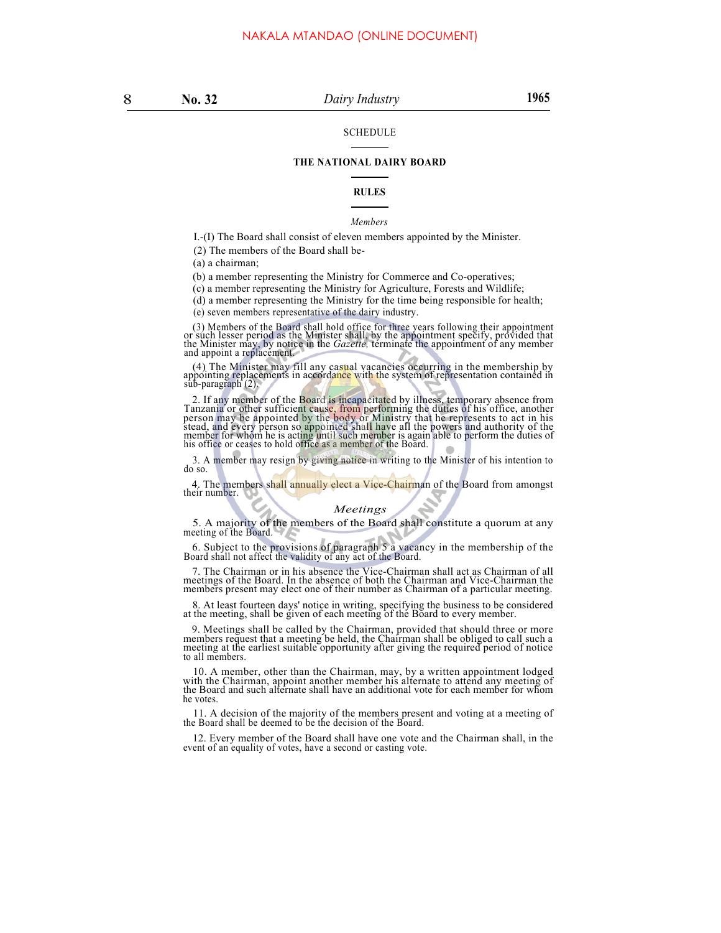#### SCHEDULE

### **THE NATIONAL DAIRY BOARD**

#### **RULES**

#### *Members*

I.-(I) The Board shall consist of eleven members appointed by the Minister.

(2) The members of the Board shall be-

(a) a chairman;

(b) a member representing the Ministry for Commerce and Co-operatives;

(c) a member representing the Ministry for Agriculture, Forests and Wildlife;

(d) a member representing the Ministry for the time being responsible for health;

(e) seven members representative of the dairy industry.

(3) Members of the Board shall hold office for three years following their appointment or such lesser period as the Minister shall, by the appointment specify, provided that the Minister may, by notice in the *Gazette*, te

(4) The Minister may fill any casual vacancies occurring in the membership by appointing replacements in accordance with the system of representation contained in sub-paragraph (2).

2. If any member of the Board is incapacitated by illness, temporary absence from<br>Tanzania or other sufficient cause, from performing the duties of his office, another<br>person may be appointed by the body or Ministry that h stead, and every person so appointed shall have all the powers and authority of the member for whom he is acting until such member is again able to perform the duties of his office or ceases to hold office as a member of t

3. A member may resign by giving notice in writing to the Minister of his intention to do so.

4. The members shall annually elect a Vice-Chairman of the Board from amongst their number.

## *Meetings*

5. A majority of the members of the Board shall constitute a quorum at any meeting of the Board.

6. Subject to the provisions of paragraph 5 a vacancy in the membership of the Board shall not affect the validity of any act of the Board.

7. The Chairman or in his absence the Vice-Chairman shall act as Chairman of all meetings of the Board. In the absence of both the Chairman and Vice-Chairman the members present may elect one of their number as Chairman of a particular meeting.

8. At least fourteen days' notice in writing, specifying the business to be considered at the meeting, shall be given of each meeting of the Board to every member.

9. Meetings shall be called by the Chairman, provided that should three or more members request that a meeting be held, the Chairman shall be obliged to call such a meeting at the earliest suitable opportunity after giving to all members.

10. A member, other than the Chairman, may, by a written appointment lodged with the Chairman, appoint another member his alternate to attend any meeting of the Board and such alternate shall have an additional vote for ea he votes.

11. A decision of the majority of the members present and voting at a meeting of the Board shall be deemed to be the decision of the Board.

12. Every member of the Board shall have one vote and the Chairman shall, in the event of an equality of votes, have a second or casting vote.